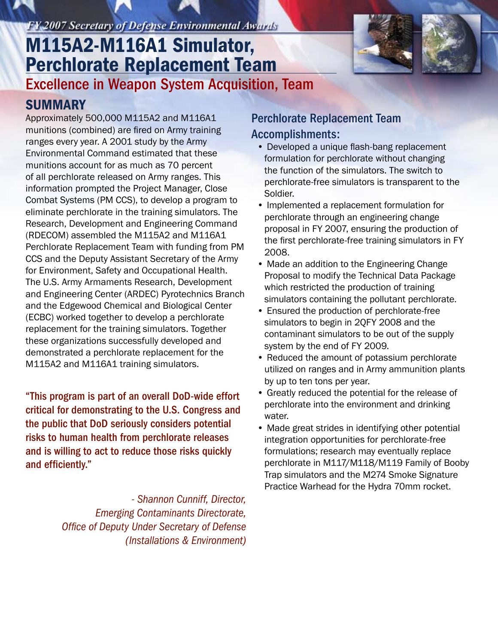### **FY 2007 Secretary of Defense Environmental Awards**

# M115A2-M116A1 Simulator, Perchlorate Replacement Team

Excellence in Weapon System Acquisition, Team

### **SUMMARY**

Approximately 500,000 M115A2 and M116A1 munitions (combined) are fired on Army training ranges every year. A 2001 study by the Army Environmental Command estimated that these munitions account for as much as 70 percent of all perchlorate released on Army ranges. This information prompted the Project Manager, Close Combat Systems (PM CCS), to develop a program to eliminate perchlorate in the training simulators. The Research, Development and Engineering Command (RDECOM) assembled the M115A2 and M116A1 Perchlorate Replacement Team with funding from PM CCS and the Deputy Assistant Secretary of the Army for Environment, Safety and Occupational Health. The U.S. Army Armaments Research, Development and Engineering Center (ARDEC) Pyrotechnics Branch and the Edgewood Chemical and Biological Center (ECBC) worked together to develop a perchlorate replacement for the training simulators. Together these organizations successfully developed and demonstrated a perchlorate replacement for the M115A2 and M116A1 training simulators.

"This program is part of an overall DoD-wide effort critical for demonstrating to the U.S. Congress and the public that DoD seriously considers potential risks to human health from perchlorate releases and is willing to act to reduce those risks quickly and efficiently."

> *- Shannon Cunniff, Director, Emerging Contaminants Directorate, Office of Deputy Under Secretary of Defense (Installations & Environment)*

#### Perchlorate Replacement Team Accomplishments:

- Developed a unique flash-bang replacement formulation for perchlorate without changing the function of the simulators. The switch to perchlorate-free simulators is transparent to the Soldier.
- Implemented a replacement formulation for perchlorate through an engineering change proposal in FY 2007, ensuring the production of the first perchlorate-free training simulators in FY 2008.
- Made an addition to the Engineering Change Proposal to modify the Technical Data Package which restricted the production of training simulators containing the pollutant perchlorate.
- Ensured the production of perchlorate-free simulators to begin in 2QFY 2008 and the contaminant simulators to be out of the supply system by the end of FY 2009.
- Reduced the amount of potassium perchlorate utilized on ranges and in Army ammunition plants by up to ten tons per year.
- Greatly reduced the potential for the release of perchlorate into the environment and drinking water.
- Made great strides in identifying other potential integration opportunities for perchlorate-free formulations; research may eventually replace perchlorate in M117/M118/M119 Family of Booby Trap simulators and the M274 Smoke Signature Practice Warhead for the Hydra 70mm rocket.



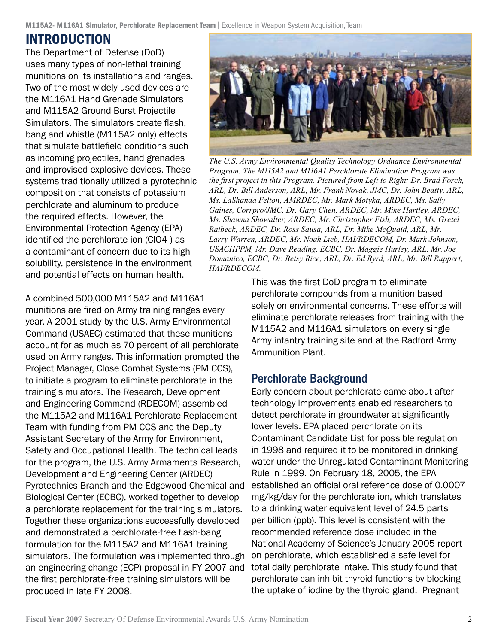#### INTRODUCTION

The Department of Defense (DoD) uses many types of non-lethal training munitions on its installations and ranges. Two of the most widely used devices are the M116A1 Hand Grenade Simulators and M115A2 Ground Burst Projectile Simulators. The simulators create flash, bang and whistle (M115A2 only) effects that simulate battlefield conditions such as incoming projectiles, hand grenades and improvised explosive devices. These systems traditionally utilized a pyrotechnic composition that consists of potassium perchlorate and aluminum to produce the required effects. However, the Environmental Protection Agency (EPA) identified the perchlorate ion (ClO4-) as a contaminant of concern due to its high solubility, persistence in the environment and potential effects on human health.

A combined 500,000 M115A2 and M116A1 munitions are fired on Army training ranges every year. A 2001 study by the U.S. Army Environmental Command (USAEC) estimated that these munitions account for as much as 70 percent of all perchlorate used on Army ranges. This information prompted the Project Manager, Close Combat Systems (PM CCS), to initiate a program to eliminate perchlorate in the training simulators. The Research, Development and Engineering Command (RDECOM) assembled the M115A2 and M116A1 Perchlorate Replacement Team with funding from PM CCS and the Deputy Assistant Secretary of the Army for Environment, Safety and Occupational Health. The technical leads for the program, the U.S. Army Armaments Research, Development and Engineering Center (ARDEC) Pyrotechnics Branch and the Edgewood Chemical and Biological Center (ECBC), worked together to develop a perchlorate replacement for the training simulators. Together these organizations successfully developed and demonstrated a perchlorate-free flash-bang formulation for the M115A2 and M116A1 training simulators. The formulation was implemented through an engineering change (ECP) proposal in FY 2007 and the first perchlorate-free training simulators will be produced in late FY 2008.



*The U.S. Army Environmental Quality Technology Ordnance Environmental Program. The M115A2 and M116A1 Perchlorate Elimination Program was the first project in this Program. Pictured from Left to Right: Dr. Brad Forch, ARL, Dr. Bill Anderson, ARL, Mr. Frank Novak, JMC, Dr. John Beatty, ARL, Ms. LaShanda Felton, AMRDEC, Mr. Mark Motyka, ARDEC, Ms. Sally Gaines, Corrpro/JMC, Dr. Gary Chen, ARDEC, Mr. Mike Hartley, ARDEC, Ms. Shawna Showalter, ARDEC, Mr. Christopher Fish, ARDEC, Ms. Gretel Raibeck, ARDEC, Dr. Ross Sausa, ARL, Dr. Mike McQuaid, ARL, Mr. Larry Warren, ARDEC, Mr. Noah Lieb, HAI/RDECOM, Dr. Mark Johnson, USACHPPM, Mr. Dave Redding, ECBC, Dr. Maggie Hurley, ARL, Mr. Joe Domanico, ECBC, Dr. Betsy Rice, ARL, Dr. Ed Byrd, ARL, Mr. Bill Ruppert, HAI/RDECOM.*

This was the first DoD program to eliminate perchlorate compounds from a munition based solely on environmental concerns. These efforts will eliminate perchlorate releases from training with the M115A2 and M116A1 simulators on every single Army infantry training site and at the Radford Army Ammunition Plant.

#### Perchlorate Background

Early concern about perchlorate came about after technology improvements enabled researchers to detect perchlorate in groundwater at significantly lower levels. EPA placed perchlorate on its Contaminant Candidate List for possible regulation in 1998 and required it to be monitored in drinking water under the Unregulated Contaminant Monitoring Rule in 1999. On February 18, 2005, the EPA established an official oral reference dose of 0.0007 mg/kg/day for the perchlorate ion, which translates to a drinking water equivalent level of 24.5 parts per billion (ppb). This level is consistent with the recommended reference dose included in the National Academy of Science's January 2005 report on perchlorate, which established a safe level for total daily perchlorate intake. This study found that perchlorate can inhibit thyroid functions by blocking the uptake of iodine by the thyroid gland. Pregnant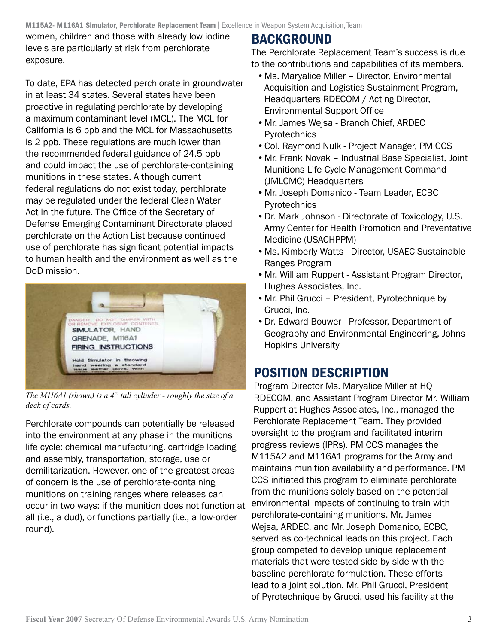women, children and those with already low iodine levels are particularly at risk from perchlorate exposure.

To date, EPA has detected perchlorate in groundwater in at least 34 states. Several states have been proactive in regulating perchlorate by developing a maximum contaminant level (MCL). The MCL for California is 6 ppb and the MCL for Massachusetts is 2 ppb. These regulations are much lower than the recommended federal guidance of 24.5 ppb and could impact the use of perchlorate-containing munitions in these states. Although current federal regulations do not exist today, perchlorate may be regulated under the federal Clean Water Act in the future. The Office of the Secretary of Defense Emerging Contaminant Directorate placed perchlorate on the Action List because continued use of perchlorate has significant potential impacts to human health and the environment as well as the DoD mission.



*The M116A1 (shown) is a 4" tall cylinder - roughly the size of a deck of cards.*

Perchlorate compounds can potentially be released into the environment at any phase in the munitions life cycle: chemical manufacturing, cartridge loading and assembly, transportation, storage, use or demilitarization. However, one of the greatest areas of concern is the use of perchlorate-containing munitions on training ranges where releases can occur in two ways: if the munition does not function at all (i.e., a dud), or functions partially (i.e., a low-order round).

### BACKGROUND

The Perchlorate Replacement Team's success is due to the contributions and capabilities of its members.

- •Ms. Maryalice Miller Director, Environmental Acquisition and Logistics Sustainment Program, Headquarters RDECOM / Acting Director, Environmental Support Office
- •Mr. James Wejsa Branch Chief, ARDEC Pyrotechnics
- •Col. Raymond Nulk Project Manager, PM CCS
- •Mr. Frank Novak Industrial Base Specialist, Joint Munitions Life Cycle Management Command (JMLCMC) Headquarters
- •Mr. Joseph Domanico Team Leader, ECBC Pyrotechnics
- •Dr. Mark Johnson Directorate of Toxicology, U.S. Army Center for Health Promotion and Preventative Medicine (USACHPPM)
- •Ms. Kimberly Watts Director, USAEC Sustainable Ranges Program
- •Mr. William Ruppert Assistant Program Director, Hughes Associates, Inc.
- •Mr. Phil Grucci President, Pyrotechnique by Grucci, Inc.
- •Dr. Edward Bouwer Professor, Department of Geography and Environmental Engineering, Johns Hopkins University

## POSITION DESCRIPTION

Program Director Ms. Maryalice Miller at HQ RDECOM, and Assistant Program Director Mr. William Ruppert at Hughes Associates, Inc., managed the Perchlorate Replacement Team. They provided oversight to the program and facilitated interim progress reviews (IPRs). PM CCS manages the M115A2 and M116A1 programs for the Army and maintains munition availability and performance. PM CCS initiated this program to eliminate perchlorate from the munitions solely based on the potential environmental impacts of continuing to train with perchlorate-containing munitions. Mr. James Wejsa, ARDEC, and Mr. Joseph Domanico, ECBC, served as co-technical leads on this project. Each group competed to develop unique replacement materials that were tested side-by-side with the baseline perchlorate formulation. These efforts lead to a joint solution. Mr. Phil Grucci, President of Pyrotechnique by Grucci, used his facility at the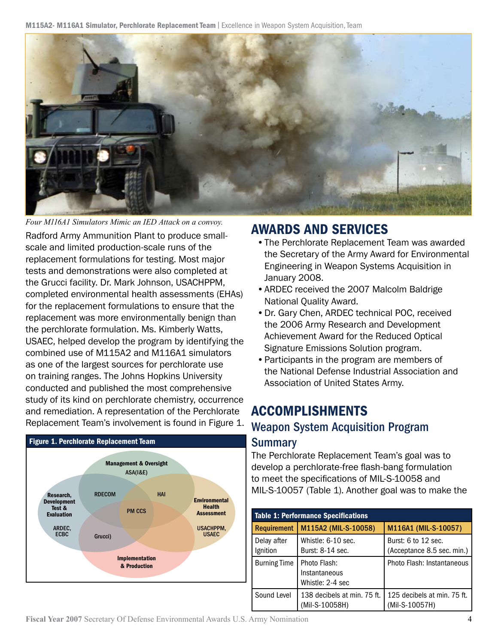M115A2- M116A1 Simulator, Perchlorate Replacement Team | Excellence in Weapon System Acquisition, Team



*Four M116A1 Simulators Mimic an IED Attack on a convoy.*

Radford Army Ammunition Plant to produce smallscale and limited production-scale runs of the replacement formulations for testing. Most major tests and demonstrations were also completed at the Grucci facility. Dr. Mark Johnson, USACHPPM, completed environmental health assessments (EHAs) for the replacement formulations to ensure that the replacement was more environmentally benign than the perchlorate formulation. Ms. Kimberly Watts, USAEC, helped develop the program by identifying the combined use of M115A2 and M116A1 simulators as one of the largest sources for perchlorate use on training ranges. The Johns Hopkins University conducted and published the most comprehensive study of its kind on perchlorate chemistry, occurrence and remediation. A representation of the Perchlorate Replacement Team's involvement is found in Figure 1.



### AWARDS AND SERVICES

- •The Perchlorate Replacement Team was awarded the Secretary of the Army Award for Environmental Engineering in Weapon Systems Acquisition in January 2008.
- •ARDEC received the 2007 Malcolm Baldrige National Quality Award.
- •Dr. Gary Chen, ARDEC technical POC, received the 2006 Army Research and Development Achievement Award for the Reduced Optical Signature Emissions Solution program.
- •Participants in the program are members of the National Defense Industrial Association and Association of United States Army.

### ACCOMPLISHMENTS

#### Weapon System Acquisition Program

#### Summary

The Perchlorate Replacement Team's goal was to develop a perchlorate-free flash-bang formulation to meet the specifications of MIL-S-10058 and MIL-S-10057 (Table 1). Another goal was to make the

| <b>Table 1: Performance Specifications</b> |                                                   |                                                   |
|--------------------------------------------|---------------------------------------------------|---------------------------------------------------|
| Requirement                                | M115A2 (MIL-S-10058)                              | M116A1 (MIL-S-10057)                              |
| Delay after<br>Ignition                    | Whistle: 6-10 sec.<br>Burst: 8-14 sec.            | Burst: 6 to 12 sec.<br>(Acceptance 8.5 sec. min.) |
| <b>Burning Time</b>                        | Photo Flash:<br>Instantaneous<br>Whistle: 2-4 sec | Photo Flash: Instantaneous                        |
| Sound Level                                | 138 decibels at min. 75 ft.<br>(Mil-S-10058H)     | 125 decibels at min. 75 ft.<br>(Mil-S-10057H)     |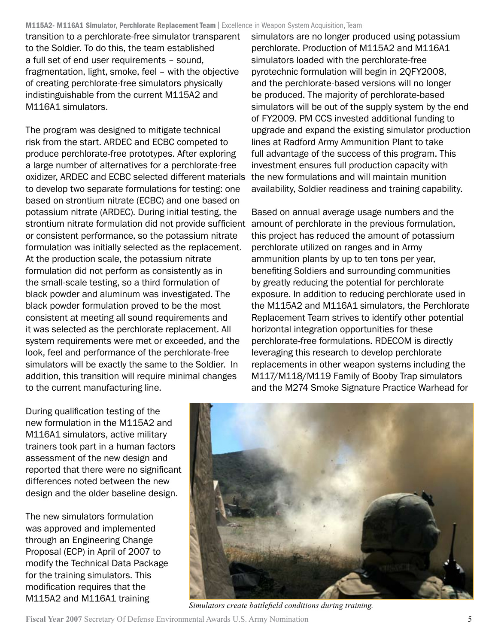#### M115A2- M116A1 Simulator, Perchlorate Replacement Team | Excellence in Weapon System Acquisition, Team

transition to a perchlorate-free simulator transparent to the Soldier. To do this, the team established a full set of end user requirements – sound, fragmentation, light, smoke, feel – with the objective of creating perchlorate-free simulators physically indistinguishable from the current M115A2 and M116A1 simulators.

The program was designed to mitigate technical risk from the start. ARDEC and ECBC competed to produce perchlorate-free prototypes. After exploring a large number of alternatives for a perchlorate-free oxidizer, ARDEC and ECBC selected different materials the new formulations and will maintain munition to develop two separate formulations for testing: one based on strontium nitrate (ECBC) and one based on potassium nitrate (ARDEC). During initial testing, the strontium nitrate formulation did not provide sufficient amount of perchlorate in the previous formulation, or consistent performance, so the potassium nitrate formulation was initially selected as the replacement. At the production scale, the potassium nitrate formulation did not perform as consistently as in the small-scale testing, so a third formulation of black powder and aluminum was investigated. The black powder formulation proved to be the most consistent at meeting all sound requirements and it was selected as the perchlorate replacement. All system requirements were met or exceeded, and the look, feel and performance of the perchlorate-free simulators will be exactly the same to the Soldier. In addition, this transition will require minimal changes to the current manufacturing line.

simulators are no longer produced using potassium perchlorate. Production of M115A2 and M116A1 simulators loaded with the perchlorate-free pyrotechnic formulation will begin in 2QFY2008, and the perchlorate-based versions will no longer be produced. The majority of perchlorate-based simulators will be out of the supply system by the end of FY2009. PM CCS invested additional funding to upgrade and expand the existing simulator production lines at Radford Army Ammunition Plant to take full advantage of the success of this program. This investment ensures full production capacity with availability, Soldier readiness and training capability.

Based on annual average usage numbers and the this project has reduced the amount of potassium perchlorate utilized on ranges and in Army ammunition plants by up to ten tons per year, benefiting Soldiers and surrounding communities by greatly reducing the potential for perchlorate exposure. In addition to reducing perchlorate used in the M115A2 and M116A1 simulators, the Perchlorate Replacement Team strives to identify other potential horizontal integration opportunities for these perchlorate-free formulations. RDECOM is directly leveraging this research to develop perchlorate replacements in other weapon systems including the M117/M118/M119 Family of Booby Trap simulators and the M274 Smoke Signature Practice Warhead for

During qualification testing of the new formulation in the M115A2 and M116A1 simulators, active military trainers took part in a human factors assessment of the new design and reported that there were no significant differences noted between the new design and the older baseline design.

The new simulators formulation was approved and implemented through an Engineering Change Proposal (ECP) in April of 2007 to modify the Technical Data Package for the training simulators. This modification requires that the M115A2 and M116A1 training



*Simulators create battlefield conditions during training.*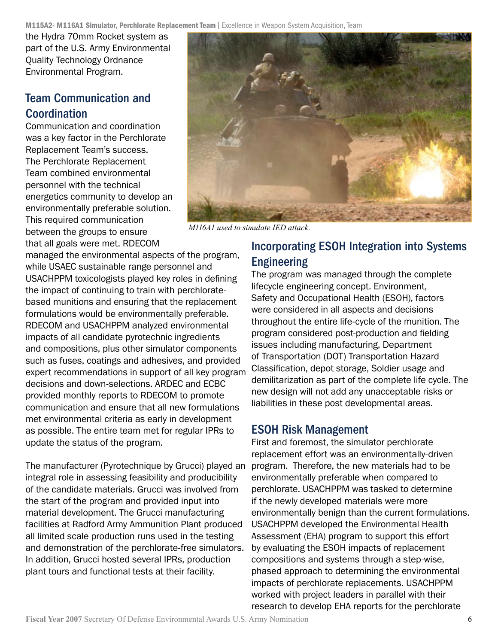the Hydra 70mm Rocket system as part of the U.S. Army Environmental Quality Technology Ordnance Environmental Program.

#### Team Communication and Coordination

Communication and coordination was a key factor in the Perchlorate Replacement Team's success. The Perchlorate Replacement Team combined environmental personnel with the technical energetics community to develop an environmentally preferable solution. This required communication between the groups to ensure that all goals were met. RDECOM

managed the environmental aspects of the program, while USAEC sustainable range personnel and USACHPPM toxicologists played key roles in defining the impact of continuing to train with perchloratebased munitions and ensuring that the replacement formulations would be environmentally preferable. RDECOM and USACHPPM analyzed environmental impacts of all candidate pyrotechnic ingredients and compositions, plus other simulator components such as fuses, coatings and adhesives, and provided expert recommendations in support of all key program decisions and down-selections. ARDEC and ECBC provided monthly reports to RDECOM to promote communication and ensure that all new formulations met environmental criteria as early in development as possible. The entire team met for regular IPRs to update the status of the program.

The manufacturer (Pyrotechnique by Grucci) played an integral role in assessing feasibility and producibility of the candidate materials. Grucci was involved from the start of the program and provided input into material development. The Grucci manufacturing facilities at Radford Army Ammunition Plant produced all limited scale production runs used in the testing and demonstration of the perchlorate-free simulators. In addition, Grucci hosted several IPRs, production plant tours and functional tests at their facility.



*M116A1 used to simulate IED attack.*

### Incorporating ESOH Integration into Systems Engineering

The program was managed through the complete lifecycle engineering concept. Environment, Safety and Occupational Health (ESOH), factors were considered in all aspects and decisions throughout the entire life-cycle of the munition. The program considered post-production and fielding issues including manufacturing, Department of Transportation (DOT) Transportation Hazard Classification, depot storage, Soldier usage and demilitarization as part of the complete life cycle. The new design will not add any unacceptable risks or liabilities in these post developmental areas.

#### ESOH Risk Management

First and foremost, the simulator perchlorate replacement effort was an environmentally-driven program. Therefore, the new materials had to be environmentally preferable when compared to perchlorate. USACHPPM was tasked to determine if the newly developed materials were more environmentally benign than the current formulations. USACHPPM developed the Environmental Health Assessment (EHA) program to support this effort by evaluating the ESOH impacts of replacement compositions and systems through a step-wise, phased approach to determining the environmental impacts of perchlorate replacements. USACHPPM worked with project leaders in parallel with their research to develop EHA reports for the perchlorate